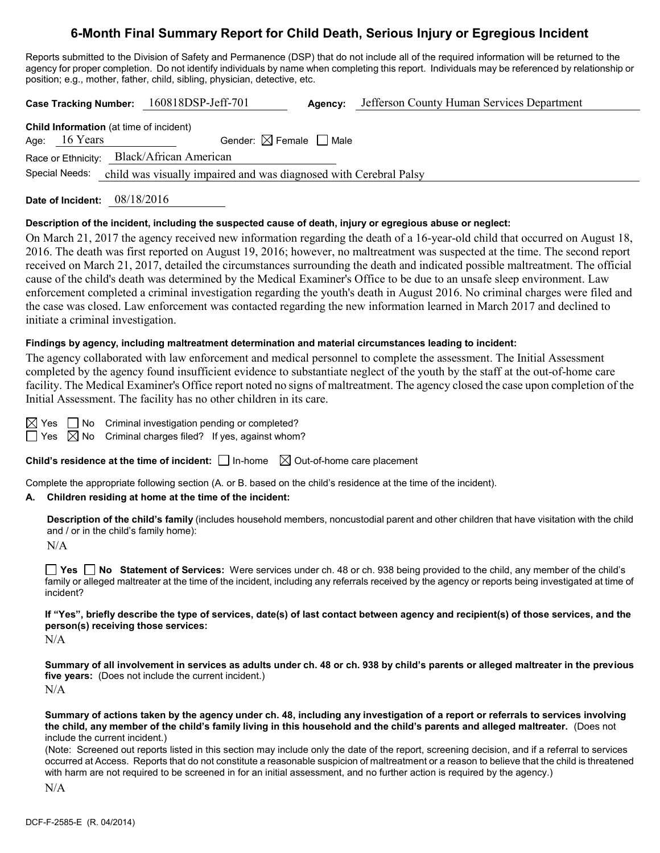# **6-Month Final Summary Report for Child Death, Serious Injury or Egregious Incident**

Reports submitted to the Division of Safety and Permanence (DSP) that do not include all of the required information will be returned to the agency for proper completion. Do not identify individuals by name when completing this report. Individuals may be referenced by relationship or position; e.g., mother, father, child, sibling, physician, detective, etc.

**Case Tracking Number:** 160818DSP-Jeff-701 **Agency:** Jefferson County Human Services Department

| <b>Child Information</b> (at time of incident) |               |                                                                                  |  |  |  |  |  |  |
|------------------------------------------------|---------------|----------------------------------------------------------------------------------|--|--|--|--|--|--|
|                                                | Age: 16 Years | Gender: $\boxtimes$ Female $\Box$ Male                                           |  |  |  |  |  |  |
|                                                |               | Race or Ethnicity: Black/African American                                        |  |  |  |  |  |  |
|                                                |               | Special Needs: child was visually impaired and was diagnosed with Cerebral Palsy |  |  |  |  |  |  |
|                                                |               |                                                                                  |  |  |  |  |  |  |

**Date of Incident:** 08/18/2016

## **Description of the incident, including the suspected cause of death, injury or egregious abuse or neglect:**

On March 21, 2017 the agency received new information regarding the death of a 16-year-old child that occurred on August 18, 2016. The death was first reported on August 19, 2016; however, no maltreatment was suspected at the time. The second report received on March 21, 2017, detailed the circumstances surrounding the death and indicated possible maltreatment. The official cause of the child's death was determined by the Medical Examiner's Office to be due to an unsafe sleep environment. Law enforcement completed a criminal investigation regarding the youth's death in August 2016. No criminal charges were filed and the case was closed. Law enforcement was contacted regarding the new information learned in March 2017 and declined to initiate a criminal investigation.

#### **Findings by agency, including maltreatment determination and material circumstances leading to incident:**

The agency collaborated with law enforcement and medical personnel to complete the assessment. The Initial Assessment completed by the agency found insufficient evidence to substantiate neglect of the youth by the staff at the out-of-home care facility. The Medical Examiner's Office report noted no signs of maltreatment. The agency closed the case upon completion of the Initial Assessment. The facility has no other children in its care.

 $\Box$  No Criminal investigation pending or completed?

 $\boxtimes$  No Criminal charges filed? If yes, against whom?

**Child's residence at the time of incident:**  $\Box$  In-home  $\Box$  Out-of-home care placement

Complete the appropriate following section (A. or B. based on the child's residence at the time of the incident).

## **A. Children residing at home at the time of the incident:**

**Description of the child's family** (includes household members, noncustodial parent and other children that have visitation with the child and / or in the child's family home):

N/A

■ Yes ■ No Statement of Services: Were services under ch. 48 or ch. 938 being provided to the child, any member of the child's family or alleged maltreater at the time of the incident, including any referrals received by the agency or reports being investigated at time of incident?

**If "Yes", briefly describe the type of services, date(s) of last contact between agency and recipient(s) of those services, and the person(s) receiving those services:**

N/A

**Summary of all involvement in services as adults under ch. 48 or ch. 938 by child's parents or alleged maltreater in the previous five years:** (Does not include the current incident.) N/A

**Summary of actions taken by the agency under ch. 48, including any investigation of a report or referrals to services involving the child, any member of the child's family living in this household and the child's parents and alleged maltreater.** (Does not include the current incident.)

(Note: Screened out reports listed in this section may include only the date of the report, screening decision, and if a referral to services occurred at Access. Reports that do not constitute a reasonable suspicion of maltreatment or a reason to believe that the child is threatened with harm are not required to be screened in for an initial assessment, and no further action is required by the agency.)

N/A